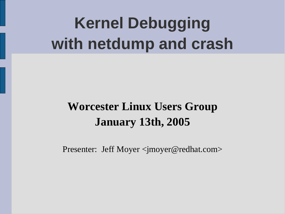# **Kernel Debugging with netdump and crash**

### **Worcester Linux Users Group January 13th, 2005**

Presenter: Jeff Moyer <jmoyer@redhat.com>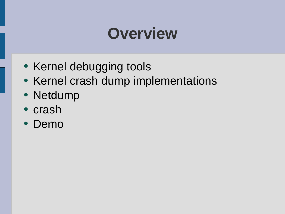### **Overview**

- Kernel debugging tools
- Kernel crash dump implementations
- Netdump
- crash
- Demo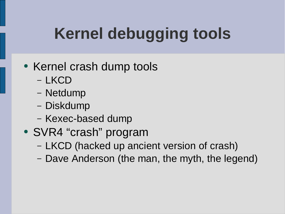# **Kernel debugging tools**

### • Kernel crash dump tools

- LKCD
- Netdump
- Diskdump
- Kexec-based dump
- SVR4 "crash" program
	- LKCD (hacked up ancient version of crash)
	- Dave Anderson (the man, the myth, the legend)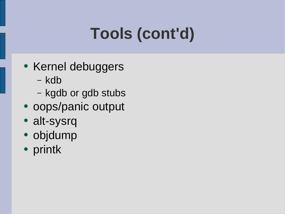# **Tools (cont'd)**

- Kernel debuggers
	- kdb
	- kgdb or gdb stubs
- oops/panic output
- alt-sysrq
- objdump
- printk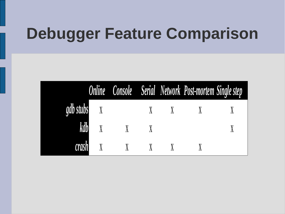### **Debugger Feature Comparison**

|             |                             |  | Online Console Serial Network Post-mortem Single step |  |
|-------------|-----------------------------|--|-------------------------------------------------------|--|
| gdb stubs X |                             |  |                                                       |  |
|             | kdb x x x                   |  |                                                       |  |
|             | $crash$ $X$ $X$ $X$ $X$ $X$ |  |                                                       |  |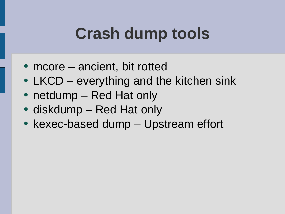### **Crash dump tools**

- $\bullet$  mcore  $-$  ancient, bit rotted
- LKCD everything and the kitchen sink
- netdump Red Hat only
- diskdump Red Hat only
- kexec-based dump Upstream effort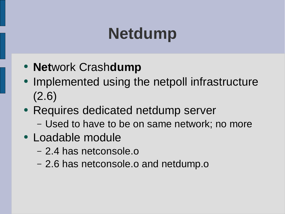# **Netdump**

- **Net**work Crash**dump**
- Implemented using the netpoll infrastructure (2.6)
- Requires dedicated netdump server
	- Used to have to be on same network; no more
- Loadable module
	- 2.4 has netconsole.o
	- 2.6 has netconsole.o and netdump.o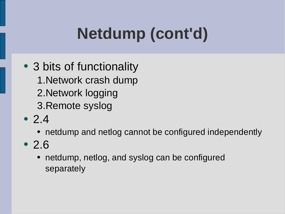# **Netdump (cont'd)**

- 3 bits of functionality 1.Network crash dump 2.Network logging 3.Remote syslog
- 2.4
	- netdump and netlog cannot be configured independently
- 2.6
	- netdump, netlog, and syslog can be configured separately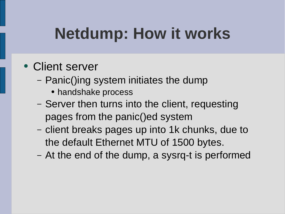## **Netdump: How it works**

- Client server
	- Panic()ing system initiates the dump
		- handshake process
	- Server then turns into the client, requesting pages from the panic()ed system
	- client breaks pages up into 1k chunks, due to the default Ethernet MTU of 1500 bytes.
	- At the end of the dump, a sysrq-t is performed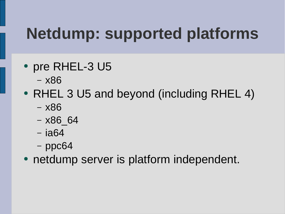# **Netdump: supported platforms**

- pre RHEL-3 U5
	- x86
- RHEL 3 U5 and beyond (including RHEL 4)
	- x86
	- x86\_64
	- ia64
	- ppc64
- netdump server is platform independent.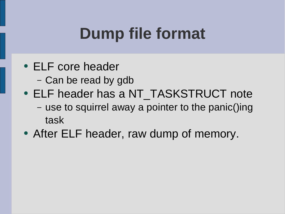## **Dump file format**

- ELF core header
	- Can be read by gdb
- ELF header has a NT\_TASKSTRUCT note – use to squirrel away a pointer to the panic()ing task
- After ELF header, raw dump of memory.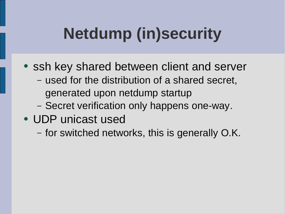# **Netdump (in)security**

- ssh key shared between client and server
	- used for the distribution of a shared secret, generated upon netdump startup
	- Secret verification only happens one-way.
- UDP unicast used
	- for switched networks, this is generally O.K.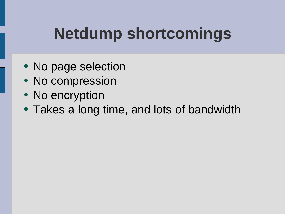## **Netdump shortcomings**

- No page selection
- No compression
- No encryption
- Takes a long time, and lots of bandwidth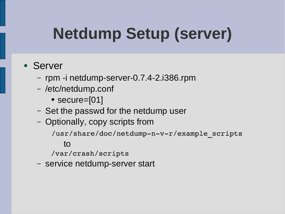# **Netdump Setup (server)**

#### • Server

- rpm -i netdump-server-0.7.4-2.i386.rpm
- /etc/netdump.conf
	- secure=[01]
- Set the passwd for the netdump user
- Optionally, copy scripts from

/usr/share/doc/netdump-n-v-r/example scripts

#### to

/var/crash/scripts

– service netdump-server start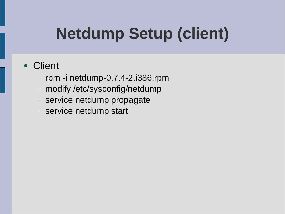# **Netdump Setup (client)**

#### • Client

- rpm -i netdump-0.7.4-2.i386.rpm
- modify /etc/sysconfig/netdump
- service netdump propagate
- service netdump start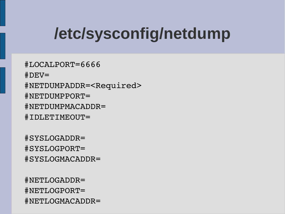# **/etc/sysconfig/netdump**

#LOCALPORT=6666  $#$ DEV= #NETDUMPADDR=<Required> #NETDUMPPORT= #NETDUMPMACADDR= #IDLETIMEOUT=

#SYSLOGADDR= #SYSLOGPORT= #SYSLOGMACADDR=

#NETLOGADDR= #NETLOGPORT= #NETLOGMACADDR=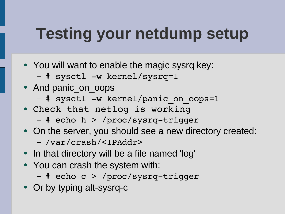### **Testing your netdump setup**

- You will want to enable the magic sysrq key:
	- # sysctl -w kernel/sysrq=1
- And panic\_on\_oops
	- # sysctl -w kernel/panic on oops=1
- Check that netlog is working
	- # echo h > /proc/sysrq-trigger
- On the server, you should see a new directory created:
	- /var/crash/<IPAddr>
- In that directory will be a file named 'log'
- You can crash the system with:
	- # echo c > /proc/sysrq-trigger
- Or by typing alt-sysrq-c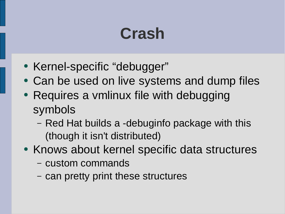## **Crash**

- Kernel-specific "debugger"
- Can be used on live systems and dump files
- Requires a vmlinux file with debugging symbols
	- Red Hat builds a -debuginfo package with this (though it isn't distributed)
- Knows about kernel specific data structures
	- custom commands
	- can pretty print these structures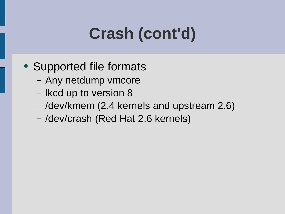# **Crash (cont'd)**

- Supported file formats
	- Any netdump vmcore
	- lkcd up to version 8
	- /dev/kmem (2.4 kernels and upstream 2.6)
	- /dev/crash (Red Hat 2.6 kernels)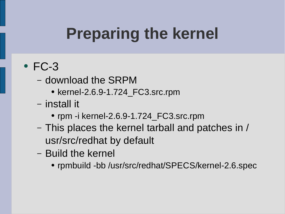# **Preparing the kernel**

### $\cdot$  FC-3

- download the SRPM
	- kernel-2.6.9-1.724\_FC3.src.rpm
- install it
	- rpm -i kernel-2.6.9-1.724\_FC3.src.rpm
- This places the kernel tarball and patches in / usr/src/redhat by default
- Build the kernel
	- rpmbuild -bb /usr/src/redhat/SPECS/kernel-2.6.spec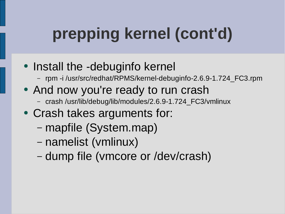# **prepping kernel (cont'd)**

- Install the -debuginfo kernel
	- rpm -i /usr/src/redhat/RPMS/kernel-debuginfo-2.6.9-1.724\_FC3.rpm
- And now you're ready to run crash
	- crash /usr/lib/debug/lib/modules/2.6.9-1.724\_FC3/vmlinux
- Crash takes arguments for:
	- mapfile (System.map)
	- namelist (vmlinux)
	- dump file (vmcore or /dev/crash)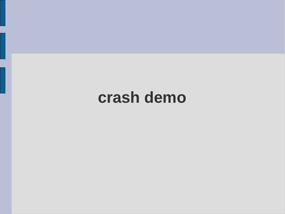### **crash demo**